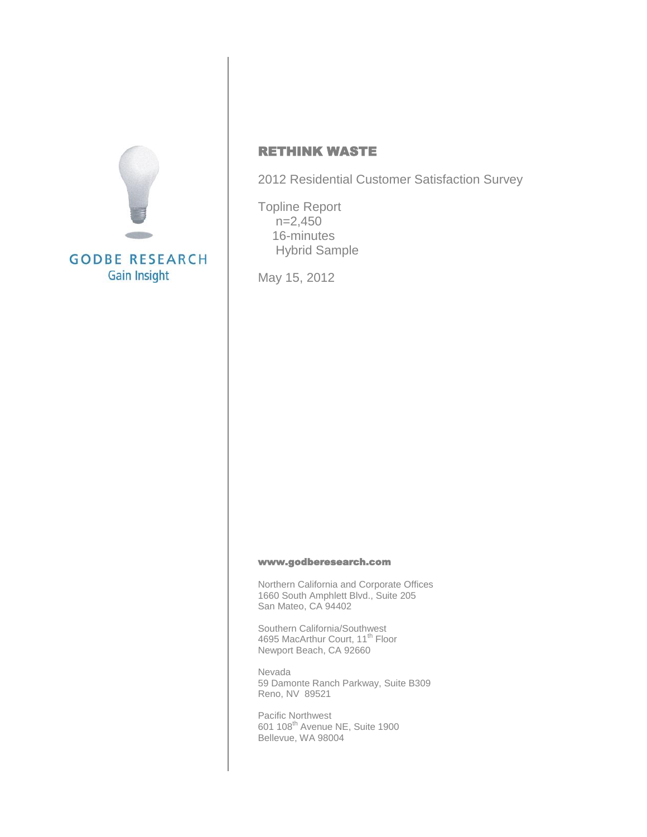

## RETHINK WASTE

2012 Residential Customer Satisfaction Survey

Topline Report n=2,450 16-minutes Hybrid Sample

May 15, 2012

#### [www.godberesearch.com](http://www.godberesearch.com/)

Northern California and Corporate Offices 1660 South Amphlett Blvd., Suite 205 San Mateo, CA 94402

Southern California/Southwest 4695 MacArthur Court, 11<sup>th</sup> Floor Newport Beach, CA 92660

Nevada 59 Damonte Ranch Parkway, Suite B309 Reno, NV 89521

Pacific Northwest 601 108<sup>th</sup> Avenue NE, Suite 1900 Bellevue, WA 98004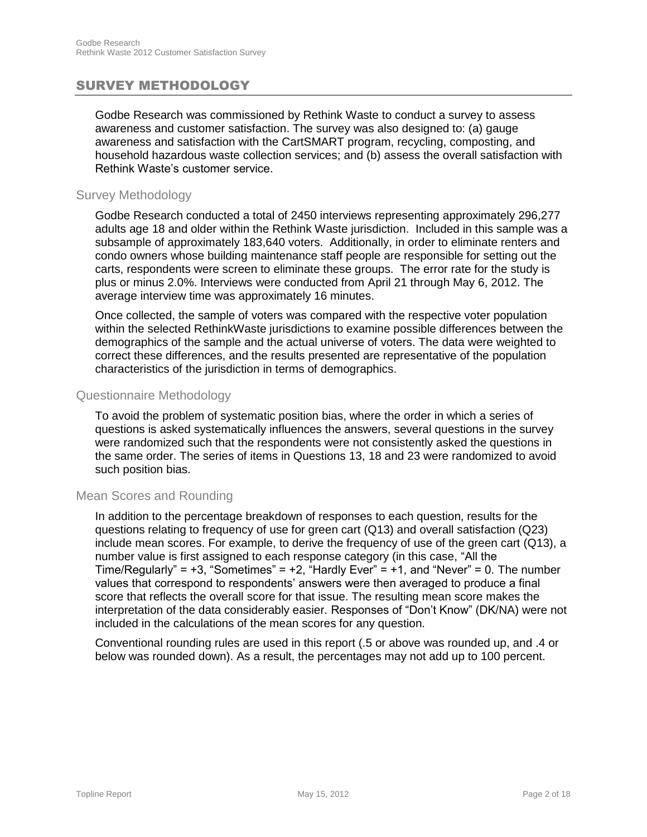## SURVEY METHODOLOGY

Godbe Research was commissioned by Rethink Waste to conduct a survey to assess awareness and customer satisfaction. The survey was also designed to: (a) gauge awareness and satisfaction with the CartSMART program, recycling, composting, and household hazardous waste collection services; and (b) assess the overall satisfaction with Rethink Waste's customer service.

#### Survey Methodology

Godbe Research conducted a total of 2450 interviews representing approximately 296,277 adults age 18 and older within the Rethink Waste jurisdiction. Included in this sample was a subsample of approximately 183,640 voters. Additionally, in order to eliminate renters and condo owners whose building maintenance staff people are responsible for setting out the carts, respondents were screen to eliminate these groups. The error rate for the study is plus or minus 2.0%. Interviews were conducted from April 21 through May 6, 2012. The average interview time was approximately 16 minutes.

Once collected, the sample of voters was compared with the respective voter population within the selected RethinkWaste jurisdictions to examine possible differences between the demographics of the sample and the actual universe of voters. The data were weighted to correct these differences, and the results presented are representative of the population characteristics of the jurisdiction in terms of demographics.

#### Questionnaire Methodology

To avoid the problem of systematic position bias, where the order in which a series of questions is asked systematically influences the answers, several questions in the survey were randomized such that the respondents were not consistently asked the questions in the same order. The series of items in Questions 13, 18 and 23 were randomized to avoid such position bias.

#### Mean Scores and Rounding

In addition to the percentage breakdown of responses to each question, results for the questions relating to frequency of use for green cart (Q13) and overall satisfaction (Q23) include mean scores. For example, to derive the frequency of use of the green cart (Q13), a number value is first assigned to each response category (in this case, "All the Time/Regularly" =  $+3$ , "Sometimes" =  $+2$ , "Hardly Ever" =  $+1$ , and "Never" = 0. The number values that correspond to respondents' answers were then averaged to produce a final score that reflects the overall score for that issue. The resulting mean score makes the interpretation of the data considerably easier. Responses of "Don't Know" (DK/NA) were not included in the calculations of the mean scores for any question.

Conventional rounding rules are used in this report (.5 or above was rounded up, and .4 or below was rounded down). As a result, the percentages may not add up to 100 percent.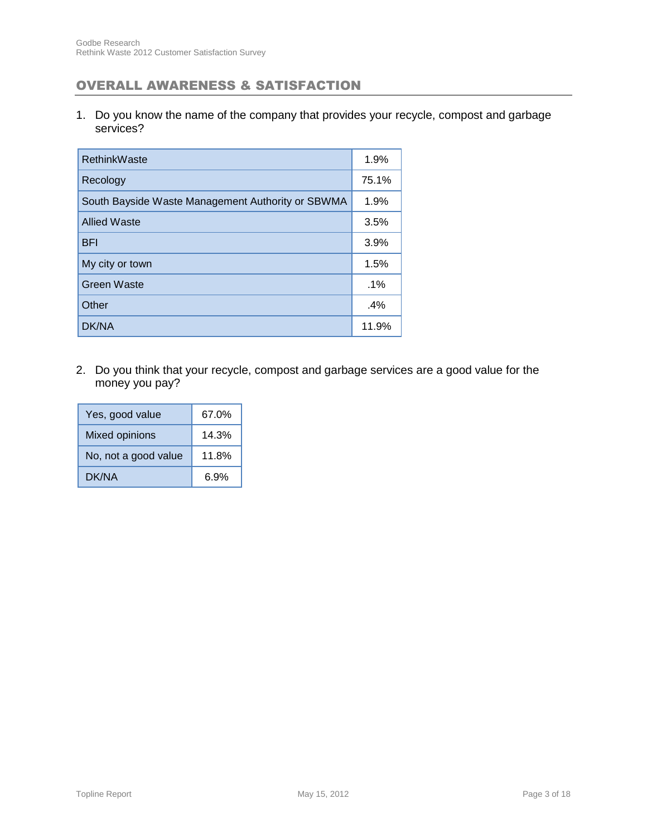## OVERALL AWARENESS & SATISFACTION

1. Do you know the name of the company that provides your recycle, compost and garbage services?

| RethinkWaste                                      | 1.9%   |
|---------------------------------------------------|--------|
| Recology                                          | 75.1%  |
| South Bayside Waste Management Authority or SBWMA | 1.9%   |
| <b>Allied Waste</b>                               | 3.5%   |
| <b>BFI</b>                                        | 3.9%   |
| My city or town                                   | 1.5%   |
| <b>Green Waste</b>                                | $.1\%$ |
| Other                                             | $.4\%$ |
| DK/NA                                             | 11.9%  |

2. Do you think that your recycle, compost and garbage services are a good value for the money you pay?

| Yes, good value       | 67.0% |
|-----------------------|-------|
| <b>Mixed opinions</b> | 14.3% |
| No, not a good value  | 11.8% |
| DK/NA                 | 6.9%  |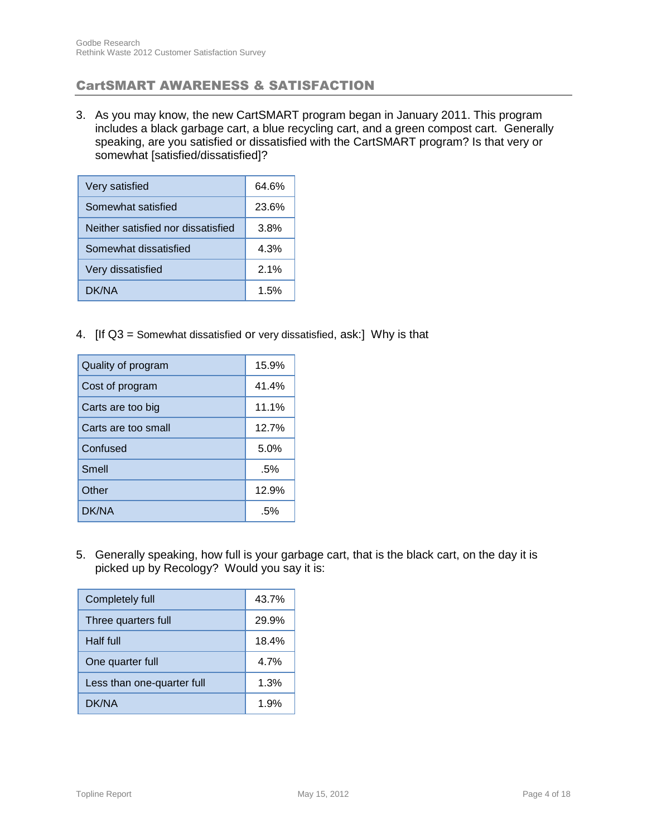## CartSMART AWARENESS & SATISFACTION

3. As you may know, the new CartSMART program began in January 2011. This program includes a black garbage cart, a blue recycling cart, and a green compost cart. Generally speaking, are you satisfied or dissatisfied with the CartSMART program? Is that very or somewhat [satisfied/dissatisfied]?

| Very satisfied                     | 64.6% |
|------------------------------------|-------|
| Somewhat satisfied                 | 23.6% |
| Neither satisfied nor dissatisfied | 3.8%  |
| Somewhat dissatisfied              | 4.3%  |
| Very dissatisfied                  | 2.1%  |
| DK/NA                              | 1.5%  |

4. [If Q3 = Somewhat dissatisfied or very dissatisfied, ask:] Why is that

| Quality of program  | 15.9% |
|---------------------|-------|
| Cost of program     | 41.4% |
| Carts are too big   | 11.1% |
| Carts are too small | 12.7% |
| Confused            | 5.0%  |
| Smell               | .5%   |
| Other               | 12.9% |
| DK/NA               | .5%   |

5. Generally speaking, how full is your garbage cart, that is the black cart, on the day it is picked up by Recology? Would you say it is:

| Completely full            | 43.7% |
|----------------------------|-------|
| Three quarters full        | 29.9% |
| Half full                  | 18.4% |
| One quarter full           | 4.7%  |
| Less than one-quarter full | 1.3%  |
| DK/NA                      | 1.9%  |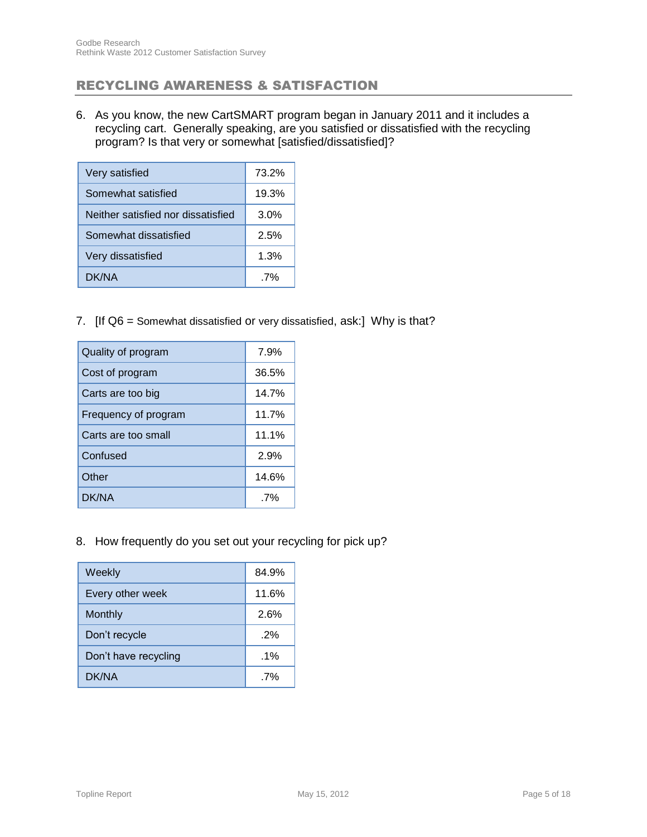## RECYCLING AWARENESS & SATISFACTION

6. As you know, the new CartSMART program began in January 2011 and it includes a recycling cart. Generally speaking, are you satisfied or dissatisfied with the recycling program? Is that very or somewhat [satisfied/dissatisfied]?

| Very satisfied                     | 73.2% |
|------------------------------------|-------|
| Somewhat satisfied                 | 19.3% |
| Neither satisfied nor dissatisfied | 3.0%  |
| Somewhat dissatisfied              | 2.5%  |
| Very dissatisfied                  | 1.3%  |
| DK/NA                              | 7%    |

7. [If Q6 = Somewhat dissatisfied or very dissatisfied, ask:] Why is that?

| Quality of program   | 7.9%  |
|----------------------|-------|
| Cost of program      | 36.5% |
| Carts are too big    | 14.7% |
| Frequency of program | 11.7% |
| Carts are too small  | 11.1% |
| Confused             | 2.9%  |
| Other                | 14.6% |
| DK/NA                | 7%    |

8. How frequently do you set out your recycling for pick up?

| Weekly               | 84.9%  |
|----------------------|--------|
| Every other week     | 11.6%  |
| Monthly              | 2.6%   |
| Don't recycle        | 2%     |
| Don't have recycling | $.1\%$ |
| DK/NA                | 7%     |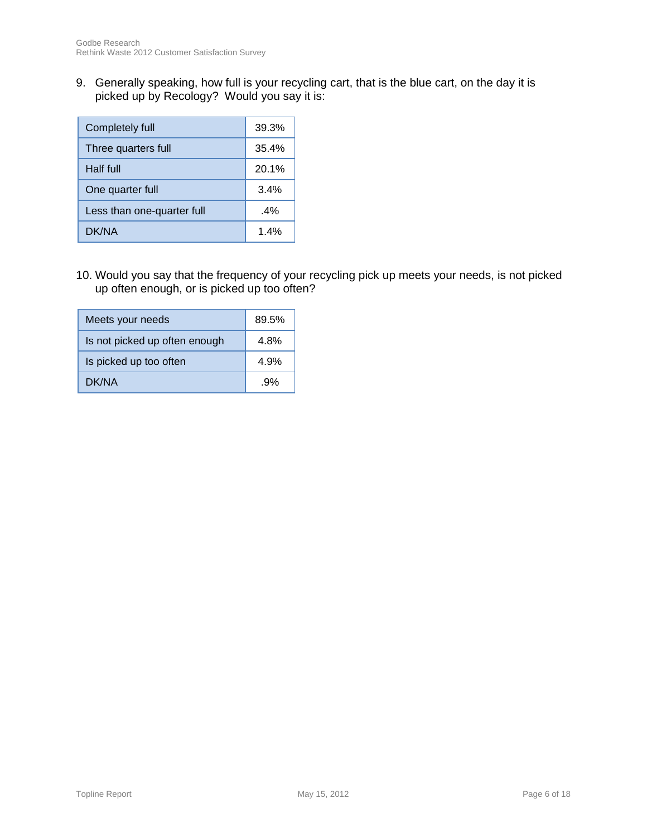9. Generally speaking, how full is your recycling cart, that is the blue cart, on the day it is picked up by Recology? Would you say it is:

| Completely full            | 39.3%  |
|----------------------------|--------|
| Three quarters full        | 35.4%  |
| <b>Half full</b>           | 20.1%  |
| One quarter full           | 3.4%   |
| Less than one-quarter full | $.4\%$ |
| DK/NA                      | 1.4%   |

10. Would you say that the frequency of your recycling pick up meets your needs, is not picked up often enough, or is picked up too often?

| Meets your needs              | 89.5% |
|-------------------------------|-------|
| Is not picked up often enough | 4.8%  |
| Is picked up too often        | 4.9%  |
| DK/NA                         | .9%   |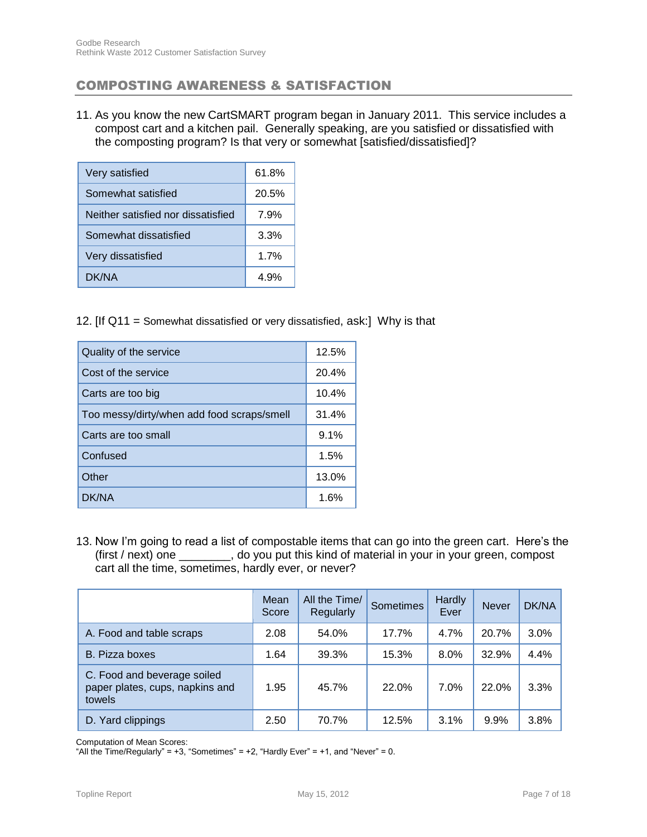## COMPOSTING AWARENESS & SATISFACTION

11. As you know the new CartSMART program began in January 2011. This service includes a compost cart and a kitchen pail. Generally speaking, are you satisfied or dissatisfied with the composting program? Is that very or somewhat [satisfied/dissatisfied]?

| Very satisfied                     | 61.8% |
|------------------------------------|-------|
| Somewhat satisfied                 | 20.5% |
| Neither satisfied nor dissatisfied | 7.9%  |
| Somewhat dissatisfied              | 3.3%  |
| Very dissatisfied                  | 1.7%  |
| DK/NA                              | 4.9%  |

12. [If Q11 = Somewhat dissatisfied or very dissatisfied, ask:] Why is that

| Quality of the service                     | 12.5% |
|--------------------------------------------|-------|
| Cost of the service                        | 20.4% |
| Carts are too big                          | 10.4% |
| Too messy/dirty/when add food scraps/smell | 31.4% |
| Carts are too small                        | 9.1%  |
| Confused                                   | 1.5%  |
| Other                                      | 13.0% |
| DK/NA                                      | 1.6%  |

13. Now I'm going to read a list of compostable items that can go into the green cart. Here's the (first / next) one \_\_\_\_\_\_\_\_, do you put this kind of material in your in your green, compost cart all the time, sometimes, hardly ever, or never?

|                                                                          | Mean<br>Score | All the Time/<br>Regularly | <b>Sometimes</b> | Hardly<br>Ever | <b>Never</b> | DK/NA |
|--------------------------------------------------------------------------|---------------|----------------------------|------------------|----------------|--------------|-------|
| A. Food and table scraps                                                 | 2.08          | 54.0%                      | 17.7%            | 4.7%           | 20.7%        | 3.0%  |
| B. Pizza boxes                                                           | 1.64          | 39.3%                      | 15.3%            | $8.0\%$        | 32.9%        | 4.4%  |
| C. Food and beverage soiled<br>paper plates, cups, napkins and<br>towels | 1.95          | 45.7%                      | 22.0%            | 7.0%           | 22.0%        | 3.3%  |
| D. Yard clippings                                                        | 2.50          | 70.7%                      | 12.5%            | 3.1%           | 9.9%         | 3.8%  |

Computation of Mean Scores:

"All the Time/Regularly" =  $+3$ , "Sometimes" =  $+2$ , "Hardly Ever" =  $+1$ , and "Never" = 0.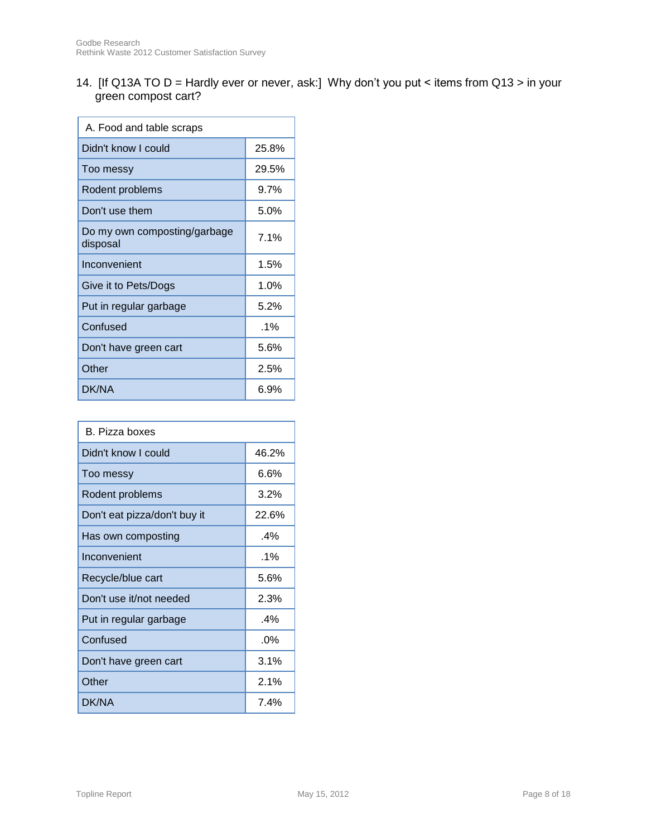14. [If Q13A TO D = Hardly ever or never, ask:] Why don't you put < items from Q13 > in your green compost cart?

| A. Food and table scraps                 |        |  |
|------------------------------------------|--------|--|
| Didn't know I could                      | 25.8%  |  |
| Too messy                                | 29.5%  |  |
| Rodent problems                          | 9.7%   |  |
| Don't use them                           | 5.0%   |  |
| Do my own composting/garbage<br>disposal | 7.1%   |  |
| Inconvenient                             | 1.5%   |  |
| Give it to Pets/Dogs                     | 1.0%   |  |
| Put in regular garbage                   | 5.2%   |  |
| Confused                                 | $.1\%$ |  |
| Don't have green cart                    | 5.6%   |  |
| Other                                    | 2.5%   |  |
| DK/NA                                    | 6.9%   |  |

| B. Pizza boxes               |        |  |
|------------------------------|--------|--|
| Didn't know I could          | 46.2%  |  |
| Too messy                    | 6.6%   |  |
| Rodent problems              | 3.2%   |  |
| Don't eat pizza/don't buy it | 22.6%  |  |
| Has own composting           | $.4\%$ |  |
| Inconvenient                 | .1%    |  |
| Recycle/blue cart            | 5.6%   |  |
| Don't use it/not needed      | 2.3%   |  |
| Put in regular garbage       | $.4\%$ |  |
| Confused                     | $.0\%$ |  |
| Don't have green cart        | 3.1%   |  |
| Other                        | 2.1%   |  |
| DK/NA                        | 7.4%   |  |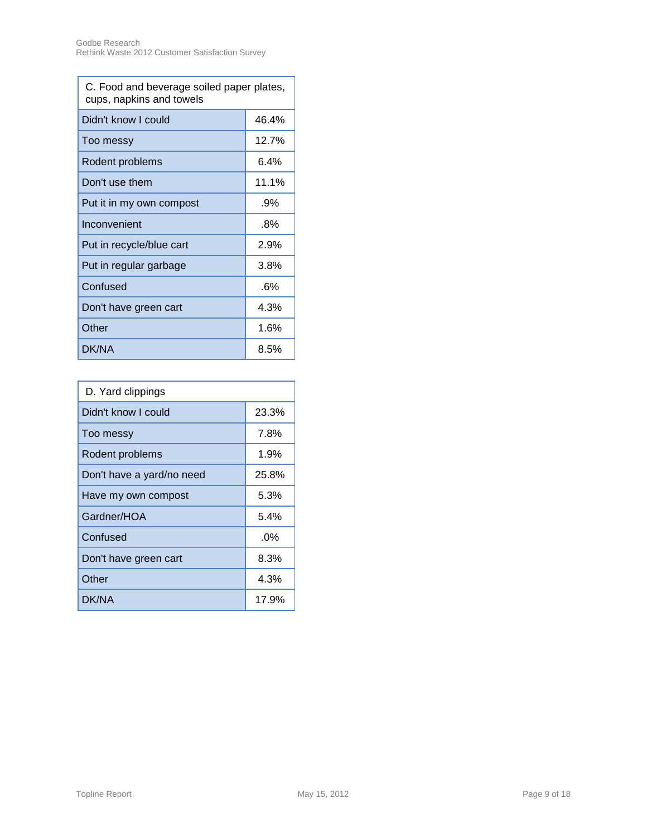| C. Food and beverage soiled paper plates,<br>cups, napkins and towels |        |  |
|-----------------------------------------------------------------------|--------|--|
| Didn't know I could                                                   | 46.4%  |  |
| Too messy                                                             | 12.7%  |  |
| Rodent problems                                                       | 6.4%   |  |
| Don't use them                                                        | 11.1%  |  |
| Put it in my own compost                                              | $.9\%$ |  |
| Inconvenient                                                          | $.8\%$ |  |
| Put in recycle/blue cart                                              | 2.9%   |  |
| Put in regular garbage                                                | 3.8%   |  |
| Confused                                                              | .6%    |  |
| Don't have green cart                                                 | 4.3%   |  |
| Other                                                                 | 1.6%   |  |
| DK/NA                                                                 | 8.5%   |  |

| D. Yard clippings         |        |  |
|---------------------------|--------|--|
| Didn't know I could       | 23.3%  |  |
| Too messy                 | 7.8%   |  |
| Rodent problems           | 1.9%   |  |
| Don't have a yard/no need | 25.8%  |  |
| Have my own compost       | 5.3%   |  |
| Gardner/HOA               | 5.4%   |  |
| Confused                  | $.0\%$ |  |
| Don't have green cart     | 8.3%   |  |
| Other                     | 4.3%   |  |
| DK/NA                     | 17.9%  |  |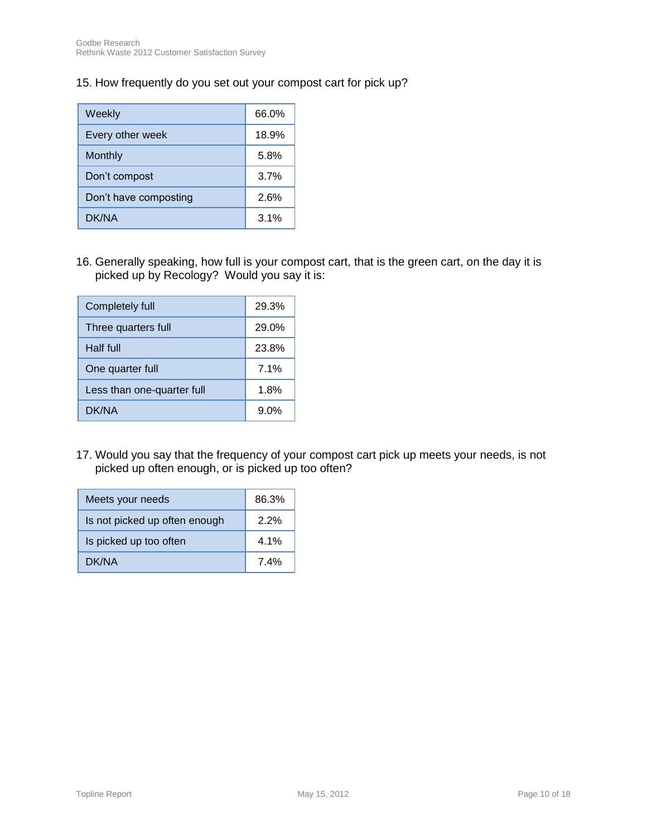15. How frequently do you set out your compost cart for pick up?

| Weekly                | 66.0% |
|-----------------------|-------|
| Every other week      | 18.9% |
| Monthly               | 5.8%  |
| Don't compost         | 3.7%  |
| Don't have composting | 2.6%  |
| DK/NA                 | 3.1%  |

16. Generally speaking, how full is your compost cart, that is the green cart, on the day it is picked up by Recology? Would you say it is:

| Completely full            | 29.3%   |
|----------------------------|---------|
| Three quarters full        | 29.0%   |
| Half full                  | 23.8%   |
| One quarter full           | 7.1%    |
| Less than one-quarter full | 1.8%    |
| DK/NA                      | $9.0\%$ |

17. Would you say that the frequency of your compost cart pick up meets your needs, is not picked up often enough, or is picked up too often?

| Meets your needs              | 86.3%   |
|-------------------------------|---------|
| Is not picked up often enough | $2.2\%$ |
| Is picked up too often        | $4.1\%$ |
| DK/NA                         | 74%     |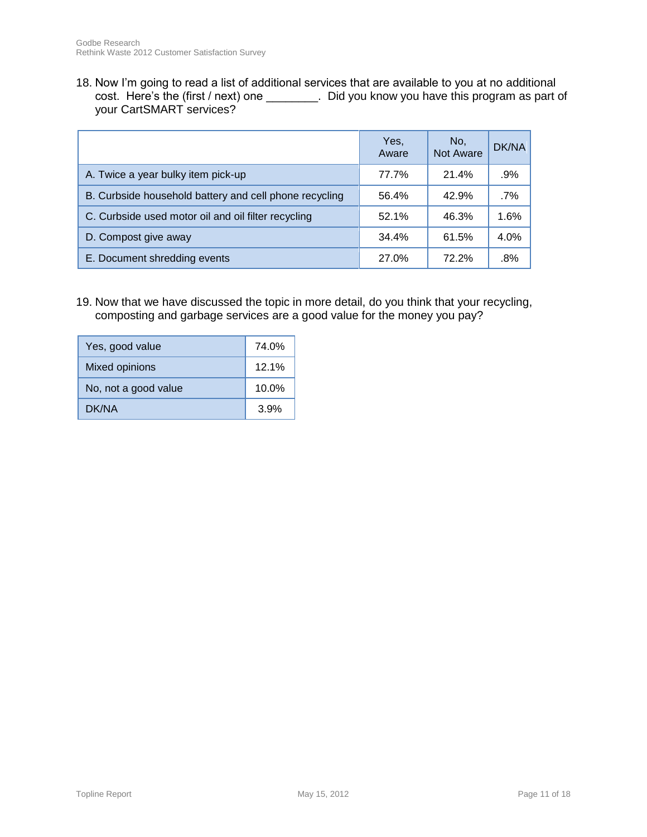18. Now I'm going to read a list of additional services that are available to you at no additional cost. Here's the (first / next) one \_\_\_\_\_\_\_\_. Did you know you have this program as part of your CartSMART services?

|                                                        | Yes,<br>Aware | No.<br><b>Not Aware</b> | DK/NA  |
|--------------------------------------------------------|---------------|-------------------------|--------|
| A. Twice a year bulky item pick-up                     | 77.7%         | 21.4%                   | .9%    |
| B. Curbside household battery and cell phone recycling | 56.4%         | 42.9%                   | $.7\%$ |
| C. Curbside used motor oil and oil filter recycling    | 52.1%         | 46.3%                   | 1.6%   |
| D. Compost give away                                   | 34.4%         | 61.5%                   | 4.0%   |
| E. Document shredding events                           | 27.0%         | 72.2%                   | $.8\%$ |

19. Now that we have discussed the topic in more detail, do you think that your recycling, composting and garbage services are a good value for the money you pay?

| Yes, good value      | 74.0% |
|----------------------|-------|
| Mixed opinions       | 12.1% |
| No, not a good value | 10.0% |
| DK/NA                | 3.9%  |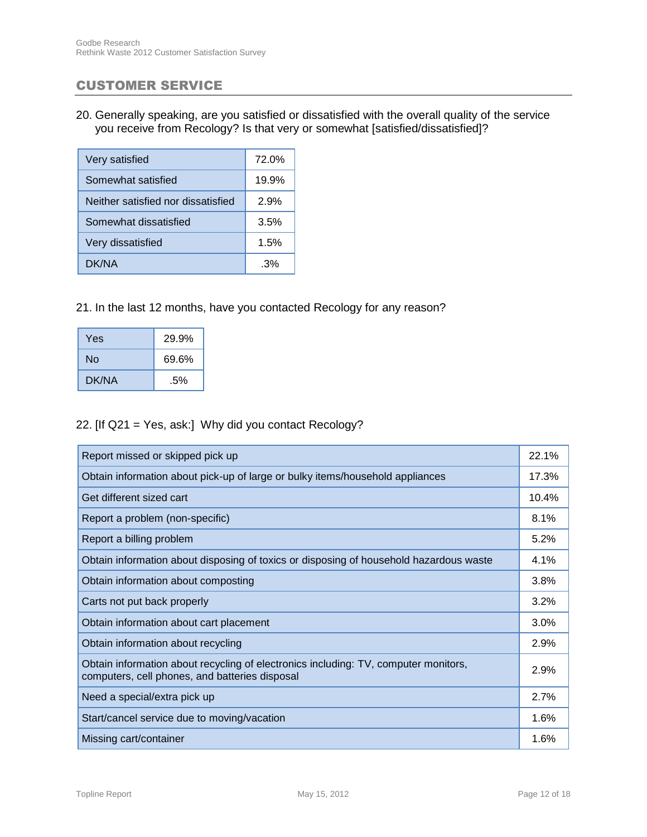### CUSTOMER SERVICE

20. Generally speaking, are you satisfied or dissatisfied with the overall quality of the service you receive from Recology? Is that very or somewhat [satisfied/dissatisfied]?

| Very satisfied                     | 72.0% |
|------------------------------------|-------|
| Somewhat satisfied                 | 19.9% |
| Neither satisfied nor dissatisfied | 2.9%  |
| Somewhat dissatisfied              | 3.5%  |
| Very dissatisfied                  | 1.5%  |
| DK/NA                              | 3%    |

#### 21. In the last 12 months, have you contacted Recology for any reason?

| <b>Yes</b>  | 29.9% |
|-------------|-------|
| 69.6%<br>Nο |       |
| DK/NA       | .5%   |

#### 22. [If Q21 = Yes, ask:] Why did you contact Recology?

| Report missed or skipped pick up                                                                                                      | 22.1% |
|---------------------------------------------------------------------------------------------------------------------------------------|-------|
| Obtain information about pick-up of large or bulky items/household appliances                                                         | 17.3% |
| Get different sized cart                                                                                                              | 10.4% |
| Report a problem (non-specific)                                                                                                       | 8.1%  |
| Report a billing problem                                                                                                              | 5.2%  |
| Obtain information about disposing of toxics or disposing of household hazardous waste                                                | 4.1%  |
| Obtain information about composting                                                                                                   | 3.8%  |
| Carts not put back properly                                                                                                           | 3.2%  |
| Obtain information about cart placement                                                                                               | 3.0%  |
| Obtain information about recycling                                                                                                    | 2.9%  |
| Obtain information about recycling of electronics including: TV, computer monitors,<br>computers, cell phones, and batteries disposal | 2.9%  |
| Need a special/extra pick up                                                                                                          | 2.7%  |
| Start/cancel service due to moving/vacation                                                                                           | 1.6%  |
| Missing cart/container                                                                                                                | 1.6%  |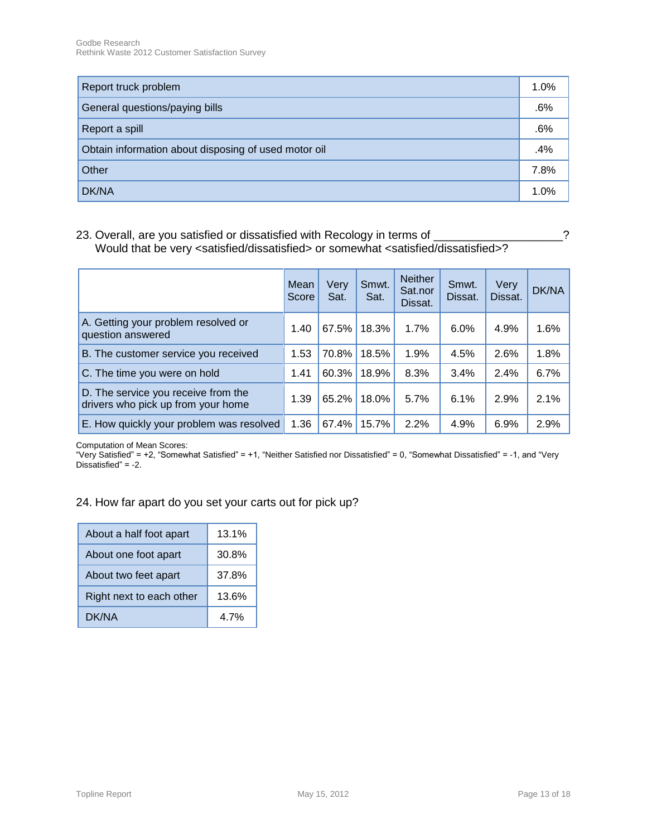| Report truck problem                                 | 1.0% |
|------------------------------------------------------|------|
| General questions/paying bills                       | .6%  |
| Report a spill                                       | .6%  |
| Obtain information about disposing of used motor oil | .4%  |
| Other                                                | 7.8% |
| DK/NA                                                | 1.0% |

23. Overall, are you satisfied or dissatisfied with Recology in terms of \_\_\_\_\_\_\_\_\_\_\_\_\_\_\_\_\_\_\_? Would that be very <satisfied/dissatisfied> or somewhat <satisfied/dissatisfied>?

|                                                                           | Mean<br>Score | Very<br>Sat. | Smwt.<br>Sat. | <b>Neither</b><br>Sat.nor<br>Dissat. | Smwt.<br>Dissat. | Very<br>Dissat. | DK/NA |
|---------------------------------------------------------------------------|---------------|--------------|---------------|--------------------------------------|------------------|-----------------|-------|
| A. Getting your problem resolved or<br>question answered                  | 1.40          | 67.5%        | 18.3%         | 1.7%                                 | 6.0%             | 4.9%            | 1.6%  |
| B. The customer service you received                                      | 1.53          | 70.8%        | 18.5%         | 1.9%                                 | 4.5%             | 2.6%            | 1.8%  |
| C. The time you were on hold                                              | 1.41          | 60.3%        | 18.9%         | 8.3%                                 | 3.4%             | 2.4%            | 6.7%  |
| D. The service you receive from the<br>drivers who pick up from your home | 1.39          | 65.2%        | 18.0%         | 5.7%                                 | 6.1%             | 2.9%            | 2.1%  |
| E. How quickly your problem was resolved                                  | 1.36          | 67.4%        | 15.7%         | 2.2%                                 | 4.9%             | 6.9%            | 2.9%  |

Computation of Mean Scores:

"Very Satisfied" = +2, "Somewhat Satisfied" = +1, "Neither Satisfied nor Dissatisfied" = 0, "Somewhat Dissatisfied" = -1, and "Very Dissatisfied" = -2.

### 24. How far apart do you set your carts out for pick up?

| About a half foot apart  | 13.1% |
|--------------------------|-------|
| About one foot apart     | 30.8% |
| About two feet apart     | 37.8% |
| Right next to each other | 13.6% |
| DK/NA                    | 4 7%  |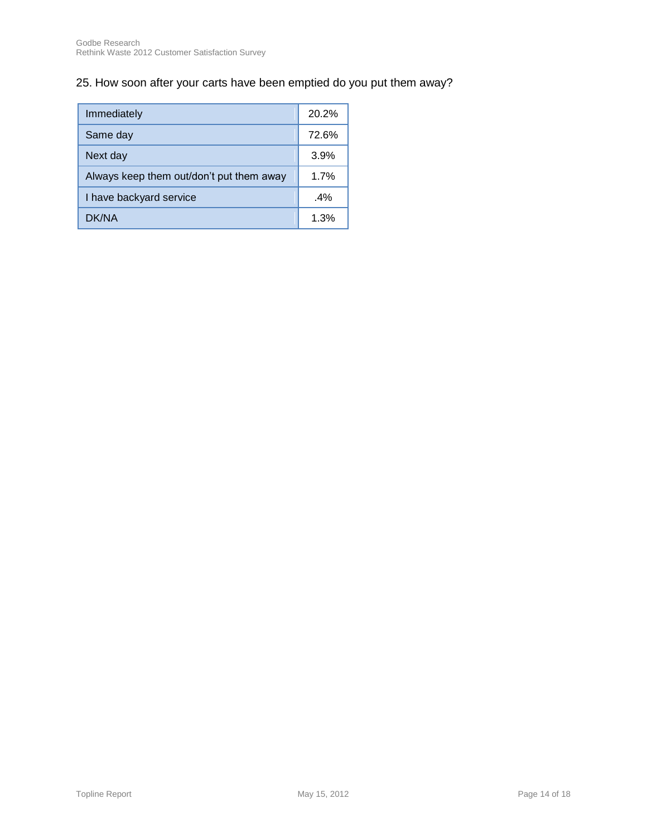## 25. How soon after your carts have been emptied do you put them away?

| Immediately                              | 20.2%  |
|------------------------------------------|--------|
| Same day                                 | 72.6%  |
| Next day                                 | 3.9%   |
| Always keep them out/don't put them away | 1.7%   |
| I have backyard service                  | $.4\%$ |
| DK/NA                                    | 1.3%   |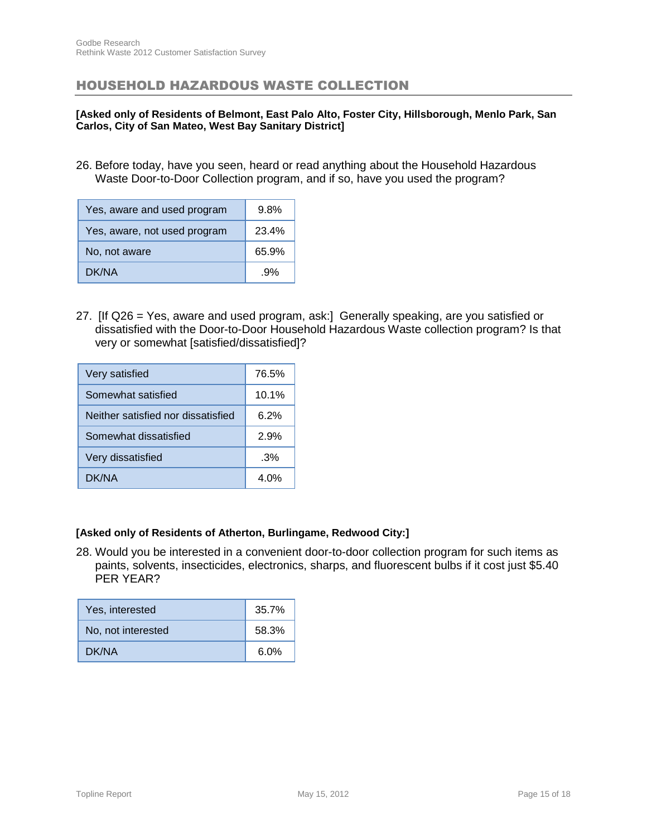### HOUSEHOLD HAZARDOUS WASTE COLLECTION

#### **[Asked only of Residents of Belmont, East Palo Alto, Foster City, Hillsborough, Menlo Park, San Carlos, City of San Mateo, West Bay Sanitary District]**

26. Before today, have you seen, heard or read anything about the Household Hazardous Waste Door-to-Door Collection program, and if so, have you used the program?

| Yes, aware and used program  | 9.8%  |
|------------------------------|-------|
| Yes, aware, not used program | 23.4% |
| No, not aware                | 65.9% |
| DK/NA                        | .9%   |

27. [If Q26 = Yes, aware and used program, ask:] Generally speaking, are you satisfied or dissatisfied with the Door-to-Door Household Hazardous Waste collection program? Is that very or somewhat [satisfied/dissatisfied]?

| Very satisfied                     | 76.5% |
|------------------------------------|-------|
| Somewhat satisfied                 | 10.1% |
| Neither satisfied nor dissatisfied | 6.2%  |
| Somewhat dissatisfied              | 2.9%  |
| Very dissatisfied                  | .3%   |
| DK/NA                              | 4 በ%  |

#### **[Asked only of Residents of Atherton, Burlingame, Redwood City:]**

28. Would you be interested in a convenient door-to-door collection program for such items as paints, solvents, insecticides, electronics, sharps, and fluorescent bulbs if it cost just \$5.40 PER YEAR?

| Yes, interested    | 35.7% |
|--------------------|-------|
| No, not interested | 58.3% |
| DK/NA              | 6.0%  |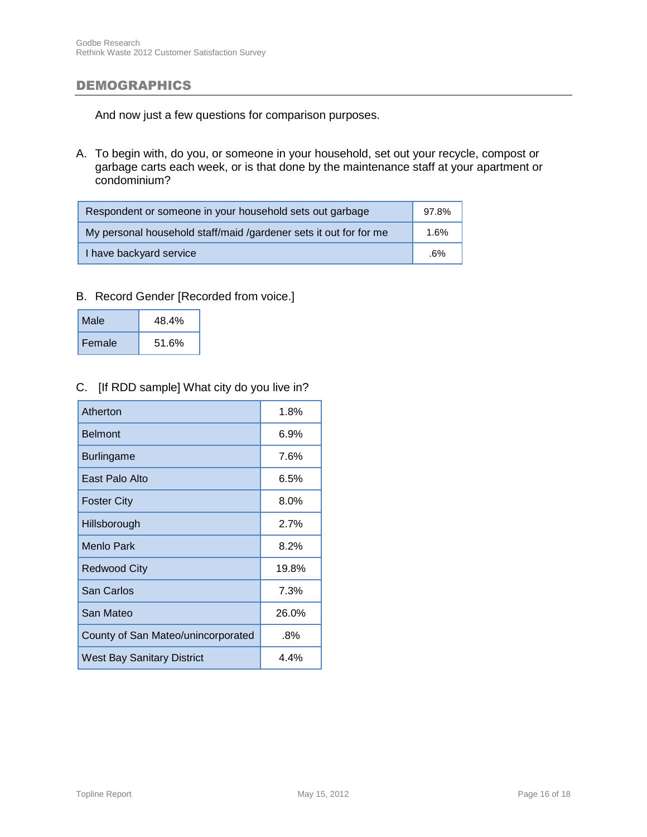#### DEMOGRAPHICS

And now just a few questions for comparison purposes.

A. To begin with, do you, or someone in your household, set out your recycle, compost or garbage carts each week, or is that done by the maintenance staff at your apartment or condominium?

| Respondent or someone in your household sets out garbage          | 97.8% |
|-------------------------------------------------------------------|-------|
| My personal household staff/maid /gardener sets it out for for me | 1.6%  |
| I have backyard service                                           | .6%   |

#### B. Record Gender [Recorded from voice.]

| Male   | 48.4% |
|--------|-------|
| Female | 51.6% |

### C. [If RDD sample] What city do you live in?

| Atherton                           | 1.8%    |
|------------------------------------|---------|
| <b>Belmont</b>                     | 6.9%    |
| <b>Burlingame</b>                  | 7.6%    |
| East Palo Alto                     | 6.5%    |
| <b>Foster City</b>                 | $8.0\%$ |
| Hillsborough                       | 2.7%    |
| Menlo Park                         | 8.2%    |
| Redwood City                       | 19.8%   |
| San Carlos                         | 7.3%    |
| San Mateo                          | 26.0%   |
| County of San Mateo/unincorporated | $.8\%$  |
| <b>West Bay Sanitary District</b>  | 4.4%    |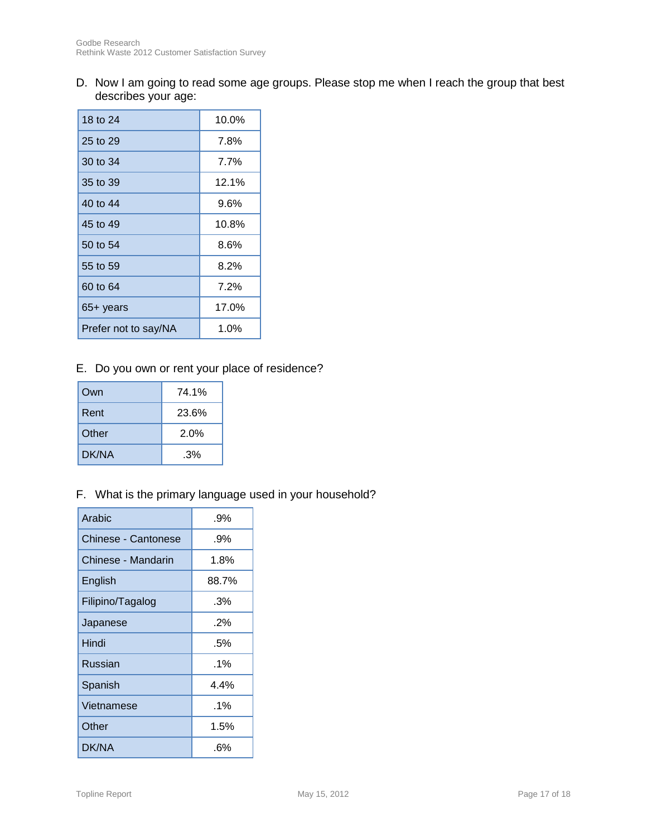D. Now I am going to read some age groups. Please stop me when I reach the group that best describes your age:

| 18 to 24             | 10.0%   |
|----------------------|---------|
| 25 to 29             | 7.8%    |
| 30 to 34             | 7.7%    |
| 35 to 39             | 12.1%   |
| 40 to 44             | 9.6%    |
| 45 to 49             | 10.8%   |
| 50 to 54             | 8.6%    |
| 55 to 59             | $8.2\%$ |
| 60 to 64             | 7.2%    |
| 65+ years            | 17.0%   |
| Prefer not to say/NA | 1.0%    |

## E. Do you own or rent your place of residence?

| Own   | 74.1% |
|-------|-------|
| Rent  | 23.6% |
| Other | 2.0%  |
| DK/NA | .3%   |

### F. What is the primary language used in your household?

| Arabic                     | .9%    |
|----------------------------|--------|
| <b>Chinese - Cantonese</b> | .9%    |
| Chinese - Mandarin         | 1.8%   |
| English                    | 88.7%  |
| Filipino/Tagalog           | .3%    |
| Japanese                   | .2%    |
| Hindi                      | .5%    |
| <b>Russian</b>             | $.1\%$ |
| Spanish                    | 4.4%   |
| Vietnamese                 | $.1\%$ |
| Other                      | 1.5%   |
| DK/NA                      | .6%    |